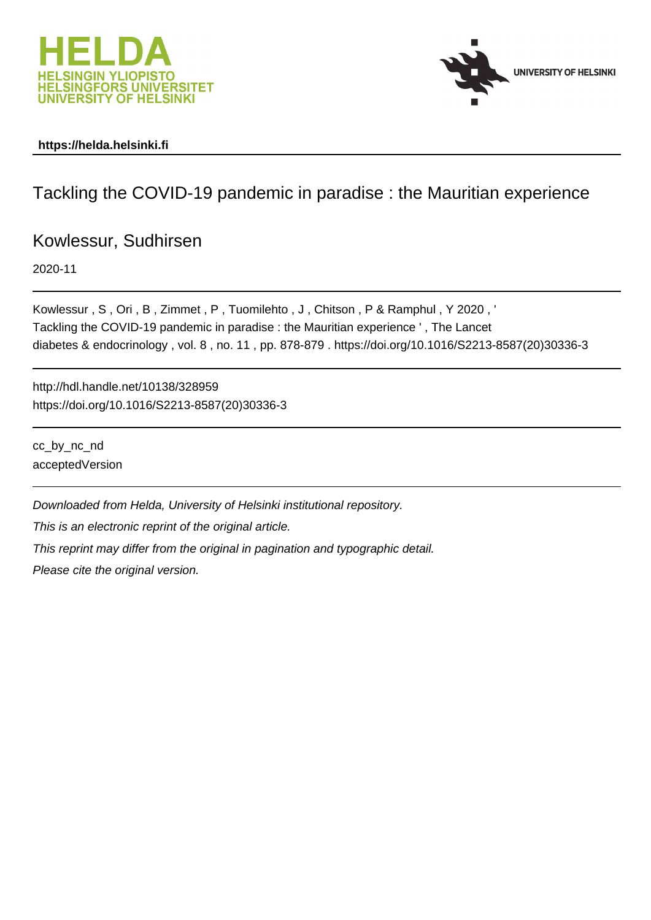



### **https://helda.helsinki.fi**

# Tackling the COVID-19 pandemic in paradise : the Mauritian experience

## Kowlessur, Sudhirsen

2020-11

Kowlessur , S , Ori , B , Zimmet , P , Tuomilehto , J , Chitson , P & Ramphul , Y 2020 , ' Tackling the COVID-19 pandemic in paradise : the Mauritian experience ' , The Lancet diabetes & endocrinology , vol. 8 , no. 11 , pp. 878-879 . https://doi.org/10.1016/S2213-8587(20)30336-3

http://hdl.handle.net/10138/328959 https://doi.org/10.1016/S2213-8587(20)30336-3

cc\_by\_nc\_nd acceptedVersion

Downloaded from Helda, University of Helsinki institutional repository.

This is an electronic reprint of the original article.

This reprint may differ from the original in pagination and typographic detail.

Please cite the original version.